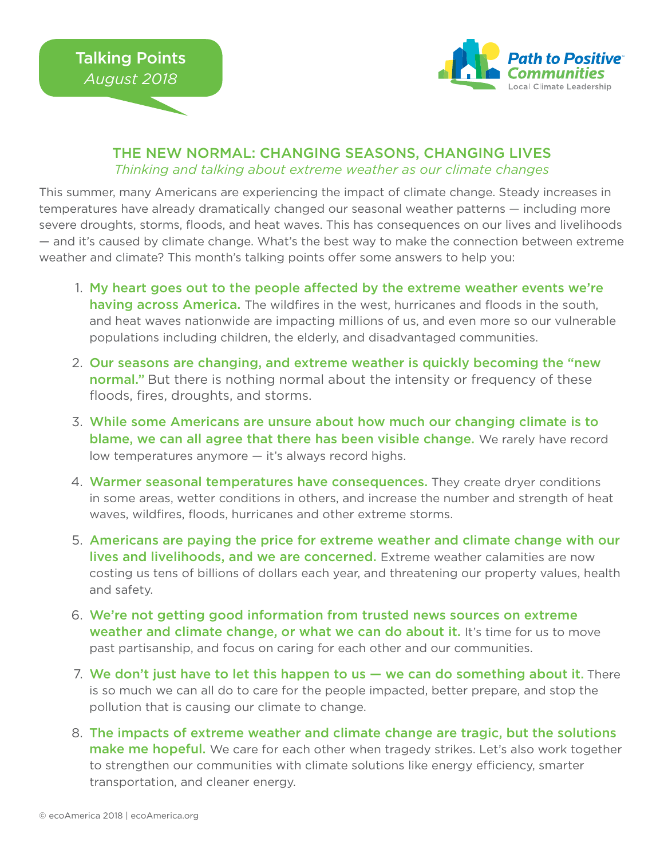

## THE NEW NORMAL: CHANGING SEASONS, CHANGING LIVES *Thinking and talking about extreme weather as our climate changes*

This summer, many Americans are experiencing the impact of climate change. Steady increases in temperatures have already dramatically changed our seasonal weather patterns — including more severe droughts, storms, floods, and heat waves. This has consequences on our lives and livelihoods — and it's caused by climate change. What's the best way to make the connection between extreme weather and climate? This month's talking points offer some answers to help you:

- 1. My heart goes out to the people affected by the extreme weather events we're having across America. The wildfires in the west, hurricanes and floods in the south, and heat waves nationwide are impacting millions of us, and even more so our vulnerable populations including children, the elderly, and disadvantaged communities.
- 2. Our seasons are changing, and extreme weather is quickly becoming the "new normal." But there is nothing normal about the intensity or frequency of these floods, fires, droughts, and storms.
- While some Americans are unsure about how much our changing climate is to 3. blame, we can all agree that there has been visible change. We rarely have record low temperatures anymore — it's always record highs.
- 4. Warmer seasonal temperatures have consequences. They create dryer conditions in some areas, wetter conditions in others, and increase the number and strength of heat waves, wildfires, floods, hurricanes and other extreme storms.
- 5. Americans are paying the price for extreme weather and climate change with our lives and livelihoods, and we are concerned. Extreme weather calamities are now costing us tens of billions of dollars each year, and threatening our property values, health and safety.
- We're not getting good information from trusted news sources on extreme 6. weather and climate change, or what we can do about it. It's time for us to move past partisanship, and focus on caring for each other and our communities.
- 7. We don't just have to let this happen to us we can do something about it. There is so much we can all do to care for the people impacted, better prepare, and stop the pollution that is causing our climate to change.
- The impacts of extreme weather and climate change are tragic, but the solutions 8. make me hopeful. We care for each other when tragedy strikes. Let's also work together to strengthen our communities with climate solutions like energy efficiency, smarter transportation, and cleaner energy.